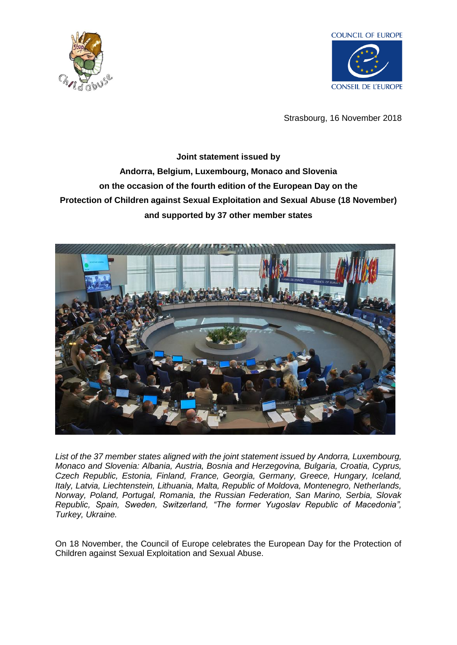



Strasbourg, 16 November 2018

## **Joint statement issued by Andorra, Belgium, Luxembourg, Monaco and Slovenia on the occasion of the fourth edition of the European Day on the Protection of Children against Sexual Exploitation and Sexual Abuse (18 November) and supported by 37 other member states**



*List of the 37 member states aligned with the joint statement issued by Andorra, Luxembourg, Monaco and Slovenia: Albania, Austria, Bosnia and Herzegovina, Bulgaria, Croatia, Cyprus, Czech Republic, Estonia, Finland, France, Georgia, Germany, Greece, Hungary, Iceland, Italy, Latvia, Liechtenstein, Lithuania, Malta, Republic of Moldova, Montenegro, Netherlands, Norway, Poland, Portugal, Romania, the Russian Federation, San Marino, Serbia, Slovak Republic, Spain, Sweden, Switzerland, "The former Yugoslav Republic of Macedonia", Turkey, Ukraine.*

On 18 November, the Council of Europe celebrates the European Day for the Protection of Children against Sexual Exploitation and Sexual Abuse.